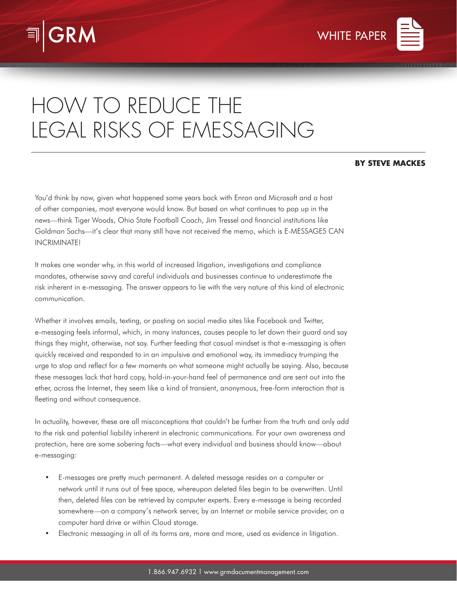



# HOW TO REDUCE THE LEGAL RISKS OF EMESSAGING

# **BY STEVE MACKES**

You'd think by now, given what happened some years back with Enron and Microsoft and a host of other companies, most everyone would know. But based on what continues to pop up in the news—think Tiger Woods, Ohio State Football Coach, Jim Tressel and financial institutions like Goldman Sachs—it's clear that many still have not received the memo, which is E-MESSAGES CAN INCRIMINATE!

It makes one wonder why, in this world of increased litigation, investigations and compliance mandates, otherwise savvy and careful individuals and businesses continue to underestimate the risk inherent in e-messaging. The answer appears to lie with the very nature of this kind of electronic communication.

Whether it involves emails, texting, or posting on social media sites like Facebook and Twitter, e-messaging feels informal, which, in many instances, causes people to let down their guard and say things they might, otherwise, not say. Further feeding that casual mindset is that e-messaging is often quickly received and responded to in an impulsive and emotional way, its immediacy trumping the urge to stop and reflect for a few moments on what someone might actually be saying. Also, because these messages lack that hard copy, hold-in-your-hand feel of permanence and are sent out into the ether, across the Internet, they seem like a kind of transient, anonymous, free-form interaction that is fleeting and without consequence.

In actuality, however, these are all misconceptions that couldn't be further from the truth and only add to the risk and potential liability inherent in electronic communications. For your own awareness and protection, here are some sobering facts—what every individual and business should know—about e-messaging:

- E-messages are pretty much permanent. A deleted message resides on a computer or network until it runs out of free space, whereupon deleted files begin to be overwritten. Until then, deleted files can be retrieved by computer experts. Every e-message is being recorded somewhere—on a company's network server, by an Internet or mobile service provider, on a computer hard drive or within Cloud storage.
- Electronic messaging in all of its forms are, more and more, used as evidence in litigation.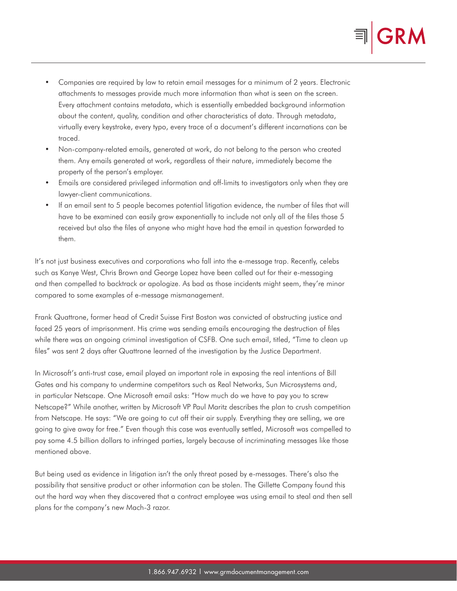

- Companies are required by law to retain email messages for a minimum of 2 years. Electronic attachments to messages provide much more information than what is seen on the screen. Every attachment contains metadata, which is essentially embedded background information about the content, quality, condition and other characteristics of data. Through metadata, virtually every keystroke, every typo, every trace of a document's different incarnations can be traced.
- Non-company-related emails, generated at work, do not belong to the person who created them. Any emails generated at work, regardless of their nature, immediately become the property of the person's employer.
- Emails are considered privileged information and off-limits to investigators only when they are lawyer-client communications.
- If an email sent to 5 people becomes potential litigation evidence, the number of files that will have to be examined can easily grow exponentially to include not only all of the files those 5 received but also the files of anyone who might have had the email in question forwarded to them.

It's not just business executives and corporations who fall into the e-message trap. Recently, celebs such as Kanye West, Chris Brown and George Lopez have been called out for their e-messaging and then compelled to backtrack or apologize. As bad as those incidents might seem, they're minor compared to some examples of e-message mismanagement.

Frank Quattrone, former head of Credit Suisse First Boston was convicted of obstructing justice and faced 25 years of imprisonment. His crime was sending emails encouraging the destruction of files while there was an ongoing criminal investigation of CSFB. One such email, titled, "Time to clean up files" was sent 2 days after Quattrone learned of the investigation by the Justice Department.

In Microsoft's anti-trust case, email played an important role in exposing the real intentions of Bill Gates and his company to undermine competitors such as Real Networks, Sun Microsystems and, in particular Netscape. One Microsoft email asks: "How much do we have to pay you to screw Netscape?" While another, written by Microsoft VP Paul Maritz describes the plan to crush competition from Netscape. He says: "We are going to cut off their air supply. Everything they are selling, we are going to give away for free." Even though this case was eventually settled, Microsoft was compelled to pay some 4.5 billion dollars to infringed parties, largely because of incriminating messages like those mentioned above.

But being used as evidence in litigation isn't the only threat posed by e-messages. There's also the possibility that sensitive product or other information can be stolen. The Gillette Company found this out the hard way when they discovered that a contract employee was using email to steal and then sell plans for the company's new Mach-3 razor.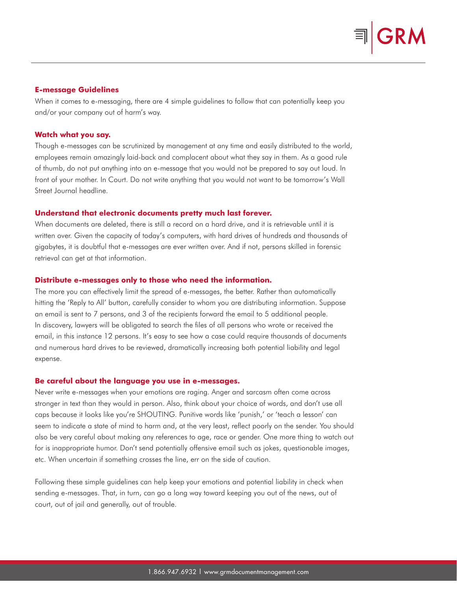#### **E-message Guidelines**

When it comes to e-messaging, there are 4 simple guidelines to follow that can potentially keep you and/or your company out of harm's way.

#### **Watch what you say.**

Though e-messages can be scrutinized by management at any time and easily distributed to the world, employees remain amazingly laid-back and complacent about what they say in them. As a good rule of thumb, do not put anything into an e-message that you would not be prepared to say out loud. In front of your mother. In Court. Do not write anything that you would not want to be tomorrow's Wall Street Journal headline.

#### **Understand that electronic documents pretty much last forever.**

When documents are deleted, there is still a record on a hard drive, and it is retrievable until it is written over. Given the capacity of today's computers, with hard drives of hundreds and thousands of gigabytes, it is doubtful that e-messages are ever written over. And if not, persons skilled in forensic retrieval can get at that information.

#### **Distribute e-messages only to those who need the information.**

The more you can effectively limit the spread of e-messages, the better. Rather than automatically hitting the 'Reply to All' button, carefully consider to whom you are distributing information. Suppose an email is sent to 7 persons, and 3 of the recipients forward the email to 5 additional people. In discovery, lawyers will be obligated to search the files of all persons who wrote or received the email, in this instance 12 persons. It's easy to see how a case could require thousands of documents and numerous hard drives to be reviewed, dramatically increasing both potential liability and legal expense.

### **Be careful about the language you use in e-messages.**

Never write e-messages when your emotions are raging. Anger and sarcasm often come across stronger in text than they would in person. Also, think about your choice of words, and don't use all caps because it looks like you're SHOUTING. Punitive words like 'punish,' or 'teach a lesson' can seem to indicate a state of mind to harm and, at the very least, reflect poorly on the sender. You should also be very careful about making any references to age, race or gender. One more thing to watch out for is inappropriate humor. Don't send potentially offensive email such as jokes, questionable images, etc. When uncertain if something crosses the line, err on the side of caution.

Following these simple guidelines can help keep your emotions and potential liability in check when sending e-messages. That, in turn, can go a long way toward keeping you out of the news, out of court, out of jail and generally, out of trouble.